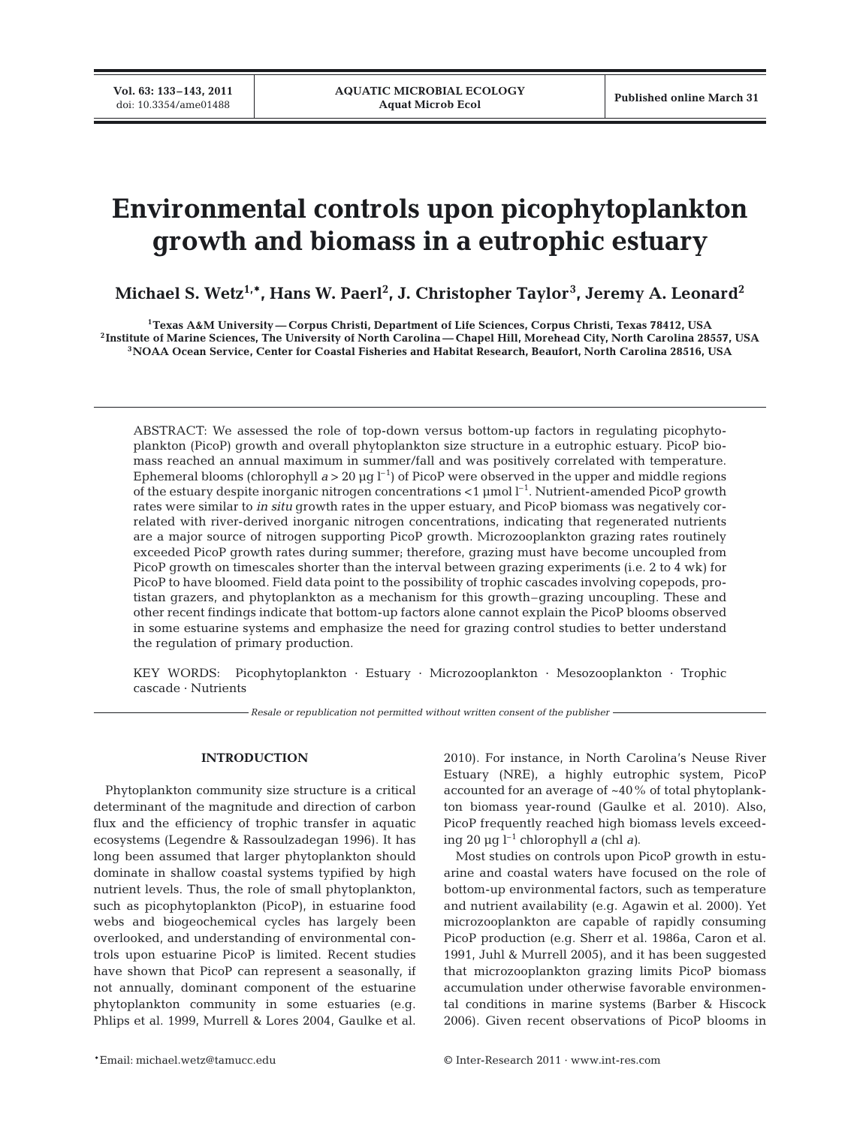**Vol. 63: 133–143, 2011**

# **Environmental controls upon picophytoplankton growth and biomass in a eutrophic estuary**

**Michael S. Wetz1,\*, Hans W. Paerl2 , J. Christopher Taylor<sup>3</sup> , Jeremy A. Leonard2**

**1Texas A&M University — Corpus Christi, Department of Life Sciences, Corpus Christi, Texas 78412, USA 2Institute of Marine Sciences, The University of North Carolina — Chapel Hill, Morehead City, North Carolina 28557, USA 3NOAA Ocean Service, Center for Coastal Fisheries and Habitat Research, Beaufort, North Carolina 28516, USA**

ABSTRACT: We assessed the role of top-down versus bottom-up factors in regulating picophytoplankton (PicoP) growth and overall phytoplankton size structure in a eutrophic estuary. PicoP biomass reached an annual maximum in summer/fall and was positively correlated with temperature. Ephemeral blooms (chlorophyll  $a > 20 \text{ µg l}^{-1}$ ) of PicoP were observed in the upper and middle regions of the estuary despite inorganic nitrogen concentrations  $<$  1 µmol  $l^{-1}$ . Nutrient-amended PicoP growth rates were similar to *in situ* growth rates in the upper estuary, and PicoP biomass was negatively correlated with river-derived inorganic nitrogen concentrations, indicating that regenerated nutrients are a major source of nitrogen supporting PicoP growth. Microzooplankton grazing rates routinely exceeded PicoP growth rates during summer; therefore, grazing must have become uncoupled from PicoP growth on timescales shorter than the interval between grazing experiments (i.e. 2 to 4 wk) for PicoP to have bloomed. Field data point to the possibility of trophic cascades involving copepods, protistan grazers, and phytoplankton as a mechanism for this growth–grazing uncoupling. These and other recent findings indicate that bottom-up factors alone cannot explain the PicoP blooms observed in some estuarine systems and emphasize the need for grazing control studies to better understand the regulation of primary production.

KEY WORDS: Picophytoplankton · Estuary · Microzooplankton · Mesozooplankton · Trophic cascade · Nutrients

*Resale or republication not permitted without written consent of the publisher*

# **INTRODUCTION**

Phytoplankton community size structure is a critical determinant of the magnitude and direction of carbon flux and the efficiency of trophic transfer in aquatic ecosystems (Legendre & Rassoulzadegan 1996). It has long been assumed that larger phytoplankton should dominate in shallow coastal systems typified by high nutrient levels. Thus, the role of small phytoplankton, such as picophytoplankton (PicoP), in estuarine food webs and biogeochemical cycles has largely been overlooked, and understanding of environmental controls upon estuarine PicoP is limited. Recent studies have shown that PicoP can represent a seasonally, if not annually, dominant component of the estuarine phytoplankton community in some estuaries (e.g. Phlips et al. 1999, Murrell & Lores 2004, Gaulke et al. 2010). For instance, in North Carolina's Neuse River Estuary (NRE), a highly eutrophic system, PicoP accounted for an average of ~40% of total phytoplankton biomass year-round (Gaulke et al. 2010). Also, PicoP frequently reached high biomass levels exceeding 20 µg l–1 chlorophyll *a* (chl *a)*.

Most studies on controls upon PicoP growth in estuarine and coastal waters have focused on the role of bottom-up environmental factors, such as temperature and nutrient availability (e.g. Agawin et al. 2000). Yet microzooplankton are capable of rapidly consuming PicoP production (e.g. Sherr et al. 1986a, Caron et al. 1991, Juhl & Murrell 2005), and it has been suggested that microzooplankton grazing limits PicoP biomass accumulation under otherwise favorable environmental conditions in marine systems (Barber & Hiscock 2006). Given recent observations of PicoP blooms in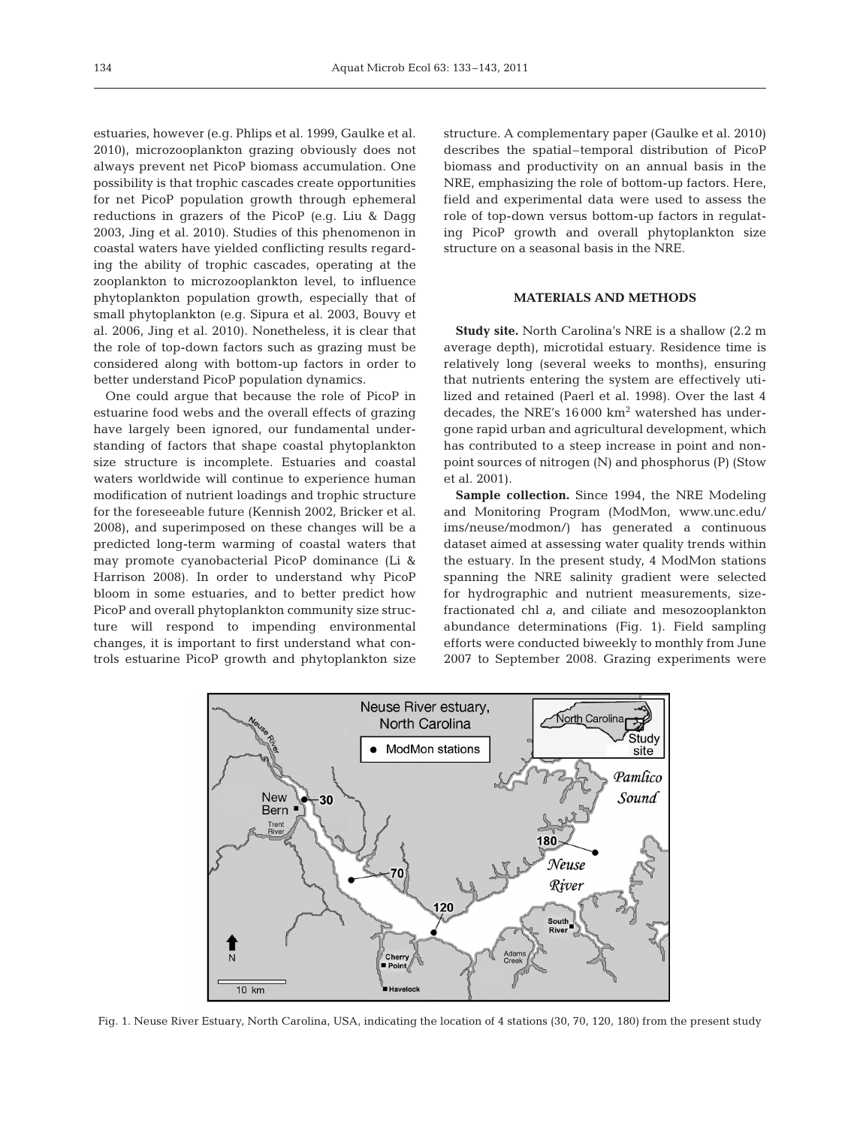estuaries, however (e.g. Phlips et al. 1999, Gaulke et al. 2010), microzooplankton grazing obviously does not always prevent net PicoP biomass accumulation. One possibility is that trophic cascades create opportunities for net PicoP population growth through ephemeral reductions in grazers of the PicoP (e.g. Liu & Dagg 2003, Jing et al. 2010). Studies of this phenomenon in coastal waters have yielded conflicting results regarding the ability of trophic cascades, operating at the zooplankton to microzooplankton level, to influence phytoplankton population growth, especially that of small phytoplankton (e.g. Sipura et al. 2003, Bouvy et al. 2006, Jing et al. 2010). Nonetheless, it is clear that the role of top-down factors such as grazing must be considered along with bottom-up factors in order to better understand PicoP population dynamics.

One could argue that because the role of PicoP in estuarine food webs and the overall effects of grazing have largely been ignored, our fundamental understanding of factors that shape coastal phytoplankton size structure is incomplete. Estuaries and coastal waters worldwide will continue to experience human modification of nutrient loadings and trophic structure for the foreseeable future (Kennish 2002, Bricker et al. 2008), and superimposed on these changes will be a predicted long-term warming of coastal waters that may promote cyanobacterial PicoP dominance (Li & Harrison 2008). In order to understand why PicoP bloom in some estuaries, and to better predict how PicoP and overall phytoplankton community size structure will respond to impending environmental changes, it is important to first understand what controls estuarine PicoP growth and phytoplankton size

structure. A complementary paper (Gaulke et al. 2010) describes the spatial–temporal distribution of PicoP biomass and productivity on an annual basis in the NRE, emphasizing the role of bottom-up factors. Here, field and experimental data were used to assess the role of top-down versus bottom-up factors in regulating PicoP growth and overall phytoplankton size structure on a seasonal basis in the NRE.

# **MATERIALS AND METHODS**

**Study site.** North Carolina's NRE is a shallow (2.2 m average depth), microtidal estuary. Residence time is relatively long (several weeks to months), ensuring that nutrients entering the system are effectively utilized and retained (Paerl et al. 1998). Over the last 4 decades, the NRE's 16 000 km<sup>2</sup> watershed has undergone rapid urban and agricultural development, which has contributed to a steep increase in point and nonpoint sources of nitrogen (N) and phosphorus (P) (Stow et al. 2001).

**Sample collection.** Since 1994, the NRE Modeling and Monitoring Program (ModMon, www.unc. edu/ ims/neuse/modmon/) has generated a continuous dataset aimed at assessing water quality trends within the estuary. In the present study, 4 ModMon stations spanning the NRE salinity gradient were selected for hydrographic and nutrient measurements, sizefractionated chl *a*, and ciliate and mesozooplankton abundance determinations (Fig. 1). Field sampling efforts were conducted biweekly to monthly from June 2007 to September 2008. Grazing experiments were



Fig. 1. Neuse River Estuary, North Carolina, USA, indicating the location of 4 stations (30, 70, 120, 180) from the present study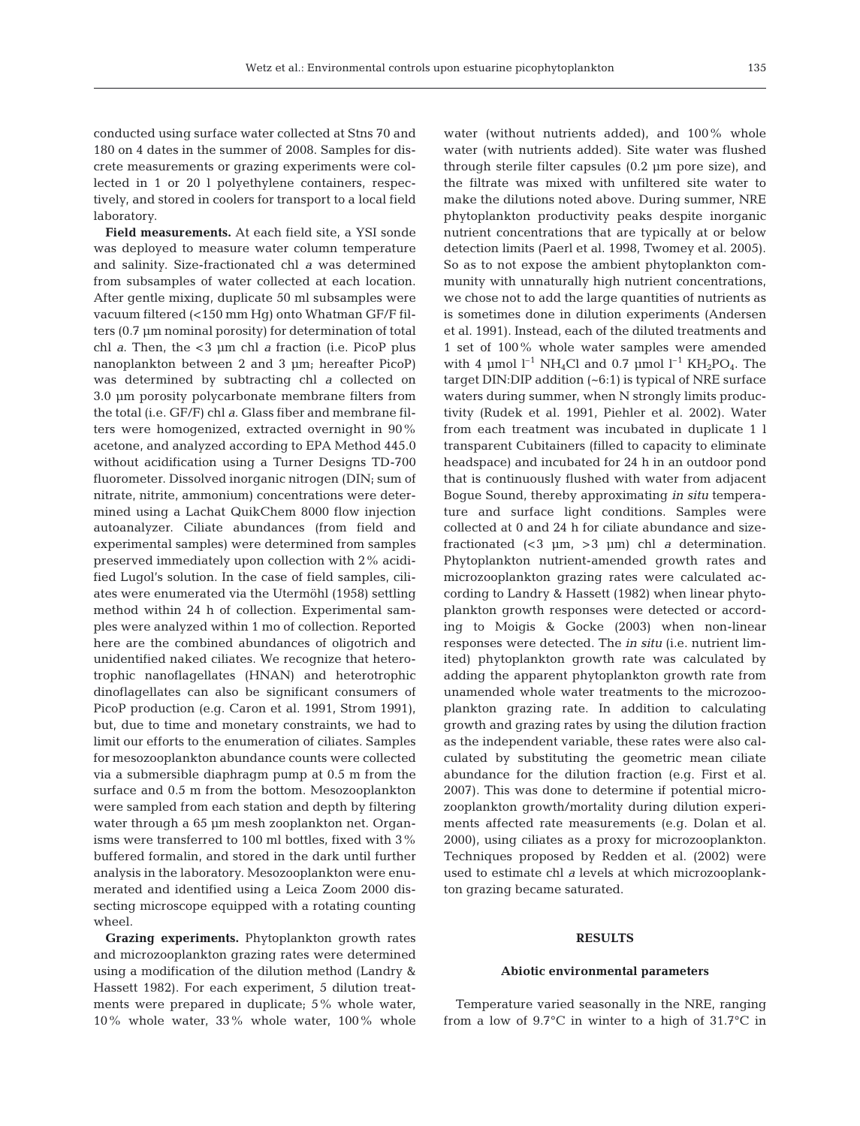conducted using surface water collected at Stns 70 and 180 on 4 dates in the summer of 2008. Samples for discrete measurements or grazing experiments were collected in 1 or 20 l polyethylene containers, respectively, and stored in coolers for transport to a local field laboratory.

**Field measurements.** At each field site, a YSI sonde was deployed to measure water column temperature and salinity. Size-fractionated chl *a* was determined from subsamples of water collected at each location. After gentle mixing, duplicate 50 ml subsamples were vacuum filtered (<150 mm Hg) onto Whatman GF/F filters (0.7 µm nominal porosity) for determination of total chl *a*. Then, the <3 µm chl *a* fraction (i.e. PicoP plus nanoplankton between 2 and 3 µm; hereafter PicoP) was determined by subtracting chl *a* collected on 3.0 µm porosity polycarbonate membrane filters from the total (i.e. GF/F) chl *a*. Glass fiber and membrane filters were homogenized, extracted overnight in 90% acetone, and analyzed according to EPA Method 445.0 without acidification using a Turner Designs TD-700 fluorometer. Dissolved inorganic nitrogen (DIN; sum of nitrate, nitrite, ammonium) concentrations were determined using a Lachat QuikChem 8000 flow injection autoanalyzer. Ciliate abundances (from field and experimental samples) were determined from samples preserved immediately upon collection with 2% acidified Lugol's solution. In the case of field samples, ciliates were enumerated via the Utermöhl (1958) settling method within 24 h of collection. Experimental samples were analyzed within 1 mo of collection. Reported here are the combined abundances of oligotrich and unidentified naked ciliates. We recognize that heterotrophic nanoflagellates (HNAN) and heterotrophic dinoflagellates can also be significant consumers of PicoP production (e.g. Caron et al. 1991, Strom 1991), but, due to time and monetary constraints, we had to limit our efforts to the enumeration of ciliates. Samples for mesozooplankton abundance counts were collected via a submersible diaphragm pump at 0.5 m from the surface and 0.5 m from the bottom. Mesozooplankton were sampled from each station and depth by filtering water through a 65 µm mesh zooplankton net. Organisms were transferred to 100 ml bottles, fixed with 3% buffered formalin, and stored in the dark until further analysis in the laboratory. Mesozooplankton were enumerated and identified using a Leica Zoom 2000 dissecting microscope equipped with a rotating counting wheel.

**Grazing experiments.** Phytoplankton growth rates and microzooplankton grazing rates were determined using a modification of the dilution method (Landry & Hassett 1982). For each experiment, 5 dilution treatments were prepared in duplicate; 5% whole water, 10% whole water, 33% whole water, 100% whole water (without nutrients added), and 100% whole water (with nutrients added). Site water was flushed through sterile filter capsules (0.2 µm pore size), and the filtrate was mixed with unfiltered site water to make the dilutions noted above. During summer, NRE phytoplankton productivity peaks despite inorganic nutrient concentrations that are typically at or below detection limits (Paerl et al. 1998, Twomey et al. 2005). So as to not expose the ambient phytoplankton community with unnaturally high nutrient concentrations, we chose not to add the large quantities of nutrients as is sometimes done in dilution experiments (Andersen et al. 1991). Instead, each of the diluted treatments and 1 set of 100% whole water samples were amended with 4 µmol  $l^{-1}$  NH<sub>4</sub>Cl and 0.7 µmol  $l^{-1}$  KH<sub>2</sub>PO<sub>4</sub>. The target DIN:DIP addition (~6:1) is typical of NRE surface waters during summer, when N strongly limits productivity (Rudek et al. 1991, Piehler et al. 2002). Water from each treatment was incubated in duplicate 1 l transparent Cubitainers (filled to capacity to eliminate headspace) and incubated for 24 h in an outdoor pond that is continuously flushed with water from adjacent Bogue Sound, thereby approximating *in situ* temperature and surface light conditions. Samples were collected at 0 and 24 h for ciliate abundance and sizefractionated (<3 µm, >3 µm) chl *a* determination. Phytoplankton nutrient-amended growth rates and microzooplankton grazing rates were calculated according to Landry & Hassett (1982) when linear phytoplankton growth responses were detected or according to Moigis & Gocke (2003) when non-linear responses were detected. The *in situ* (i.e. nutrient limited) phytoplankton growth rate was calculated by adding the apparent phytoplankton growth rate from unamended whole water treatments to the microzooplankton grazing rate. In addition to calculating growth and grazing rates by using the dilution fraction as the independent variable, these rates were also calculated by substituting the geometric mean ciliate abundance for the dilution fraction (e.g. First et al. 2007). This was done to determine if potential microzooplankton growth/mortality during dilution experiments affected rate measurements (e.g. Dolan et al. 2000), using ciliates as a proxy for microzooplankton. Techniques proposed by Redden et al. (2002) were used to estimate chl *a* levels at which microzooplankton grazing became saturated.

## **RESULTS**

#### **Abiotic environmental parameters**

Temperature varied seasonally in the NRE, ranging from a low of 9.7°C in winter to a high of 31.7°C in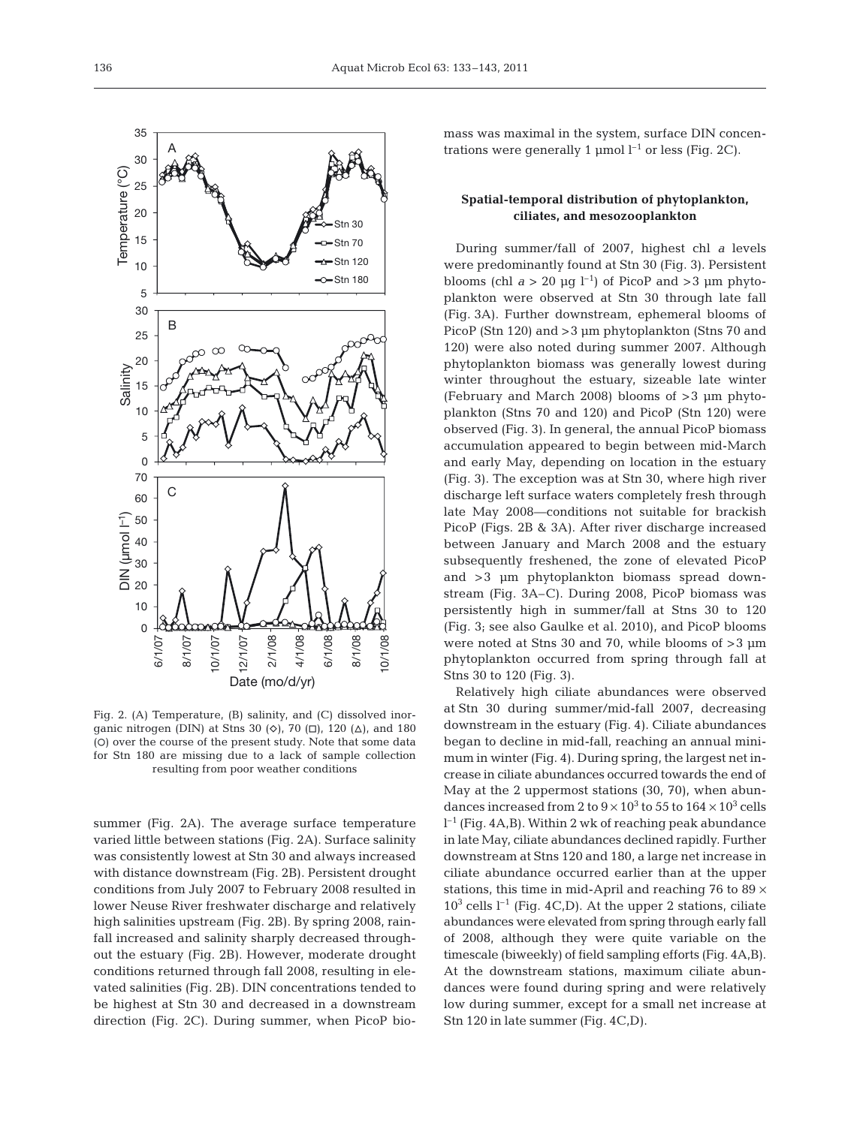

Fig. 2. (A) Temperature, (B) salinity, and (C) dissolved inorganic nitrogen (DIN) at Stns 30  $(\diamond)$ , 70  $(\square)$ , 120  $(\triangle)$ , and 180 (O) over the course of the present study. Note that some data for Stn 180 are missing due to a lack of sample collection resulting from poor weather conditions

summer (Fig. 2A). The average surface temperature varied little between stations (Fig. 2A). Surface salinity was consistently lowest at Stn 30 and always increased with distance downstream (Fig. 2B). Persistent drought conditions from July 2007 to February 2008 resulted in lower Neuse River freshwater discharge and relatively high salinities upstream (Fig. 2B). By spring 2008, rainfall increased and salinity sharply decreased throughout the estuary (Fig. 2B). However, moderate drought conditions returned through fall 2008, resulting in elevated salinities (Fig. 2B). DIN concentrations tended to be highest at Stn 30 and decreased in a downstream direction (Fig. 2C). During summer, when PicoP biomass was maximal in the system, surface DIN concentrations were generally 1  $\mu$ mol l<sup>-1</sup> or less (Fig. 2C).

# **Spatial-temporal distribution of phytoplankton, ciliates, and mesozooplankton**

During summer/fall of 2007, highest chl *a* levels were predominantly found at Stn 30 (Fig. 3). Persistent blooms (chl  $a > 20 \mu g l^{-1}$ ) of PicoP and >3  $\mu$ m phytoplankton were observed at Stn 30 through late fall (Fig. 3A). Further downstream, ephemeral blooms of PicoP (Stn 120) and > 3 µm phytoplankton (Stns 70 and 120) were also noted during summer 2007. Although phytoplankton biomass was generally lowest during winter throughout the estuary, sizeable late winter (February and March 2008) blooms of >3 µm phytoplankton (Stns 70 and 120) and PicoP (Stn 120) were observed (Fig. 3). In general, the annual PicoP biomass accumulation appeared to begin between mid-March and early May, depending on location in the estuary (Fig. 3). The exception was at Stn 30, where high river discharge left surface waters completely fresh through late May 2008—conditions not suitable for brackish PicoP (Figs. 2B & 3A). After river discharge increased between January and March 2008 and the estuary sub sequently freshened, the zone of elevated PicoP and >3 µm phytoplankton biomass spread downstream (Fig. 3A–C). During 2008, PicoP biomass was persistently high in summer/fall at Stns 30 to 120 (Fig. 3; see also Gaulke et al. 2010), and PicoP blooms were noted at Stns 30 and 70, while blooms of >3 µm phytoplankton occurred from spring through fall at Stns 30 to 120 (Fig. 3).

Relatively high ciliate abundances were observed at Stn 30 during summer/mid-fall 2007, decreasing downstream in the estuary (Fig. 4). Ciliate abundances began to decline in mid-fall, reaching an annual minimum in winter (Fig. 4). During spring, the largest net increase in ciliate abundances occurred towards the end of May at the 2 uppermost stations (30, 70), when abundances increased from 2 to  $9 \times 10^3$  to 55 to  $164 \times 10^3$  cells l –1 (Fig. 4A,B). Within 2 wk of reaching peak abundance in late May, ciliate abundances declined rapidly. Further downstream at Stns 120 and 180, a large net increase in ciliate abundance occurred earlier than at the upper stations, this time in mid-April and reaching 76 to 89 ×  $10<sup>3</sup>$  cells  $l<sup>-1</sup>$  (Fig. 4C,D). At the upper 2 stations, ciliate abundances were elevated from spring through early fall of 2008, although they were quite variable on the timescale (biweekly) of field sampling efforts (Fig. 4A,B). At the downstream stations, maximum ciliate abundances were found during spring and were relatively low during summer, except for a small net increase at Stn 120 in late summer (Fig. 4C,D).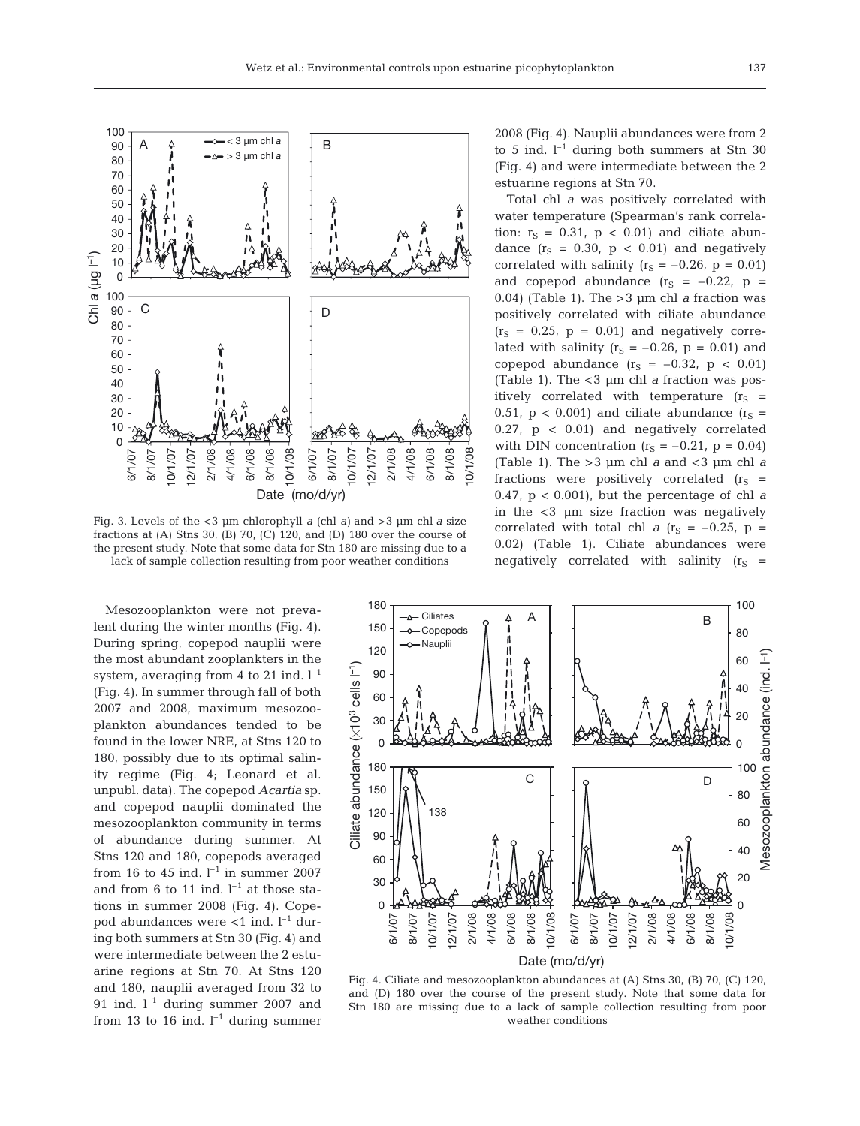

Fig. 3. Levels of the <3 µm chlorophyll *a* (chl *a)* and >3 µm chl *a* size fractions at (A) Stns 30, (B) 70, (C) 120, and (D) 180 over the course of the present study. Note that some data for Stn 180 are missing due to a lack of sample collection resulting from poor weather conditions

Mesozooplankton were not prevalent during the winter months (Fig. 4). During spring, copepod nauplii were the most abundant zooplankters in the system, averaging from 4 to 21 ind.  $l^{-1}$ (Fig. 4). In summer through fall of both 2007 and 2008, maximum mesozooplankton abundances tended to be found in the lower NRE, at Stns 120 to 180, possibly due to its optimal salinity regime (Fig. 4; Leonard et al. unpubl. data). The copepod *Acartia* sp. and copepod nauplii dominated the mesozooplankton community in terms of abundance during summer. At Stns 120 and 180, copepods averaged from 16 to 45 ind.  $l^{-1}$  in summer 2007 and from 6 to 11 ind.  $l^{-1}$  at those stations in summer 2008 (Fig. 4). Copepod abundances were  $<$ 1 ind. l<sup>-1</sup> during both summers at Stn 30 (Fig. 4) and were intermediate between the 2 estuarine regions at Stn 70. At Stns 120 and 180, nauplii averaged from 32 to 91 ind.  $l^{-1}$  during summer 2007 and from 13 to 16 ind.  $l^{-1}$  during summer 2008 (Fig. 4). Nauplii abundances were from 2 to 5 ind.  $l^{-1}$  during both summers at Stn 30  $(Fiq. 4)$  and were intermediate between the 2 estuarine regions at Stn 70.

Total chl *a* was positively correlated with water temperature (Spearman's rank correlation:  $r_S = 0.31$ ,  $p < 0.01$ ) and ciliate abundance  $(r<sub>S</sub> = 0.30, p < 0.01)$  and negatively correlated with salinity  $(r<sub>S</sub> = -0.26, p = 0.01)$ and copepod abundance  $(r<sub>S</sub> = -0.22, p =$ 0.04) (Table 1). The >3 µm chl *a* fraction was positively correlated with ciliate abundance  $(r<sub>S</sub> = 0.25, p = 0.01)$  and negatively correlated with salinity ( $r_S = -0.26$ ,  $p = 0.01$ ) and copepod abundance  $(r<sub>S</sub> = -0.32, p < 0.01)$ (Table 1). The <3 µm chl *a* fraction was positively correlated with temperature  $(r<sub>S</sub> =$ 0.51,  $p < 0.001$ ) and ciliate abundance  $(r<sub>S</sub> =$ 0.27, p < 0.01) and negatively correlated with DIN concentration  $(r<sub>S</sub> = -0.21, p = 0.04)$ (Table 1). The >3 µm chl *a* and <3 µm chl *a* fractions were positively correlated  $(r_S =$ 0.47, p < 0.001), but the percentage of chl *a* in the <3 µm size fraction was negatively correlated with total chl  $a$  ( $r_S = -0.25$ ,  $p =$ 0.02) (Table 1). Ciliate abundances were negatively correlated with salinity  $(r<sub>S</sub> =$ 



Fig. 4. Ciliate and mesozooplankton abundances at (A) Stns 30, (B) 70, (C) 120, and (D) 180 over the course of the present study. Note that some data for Stn 180 are missing due to a lack of sample collection resulting from poor weather conditions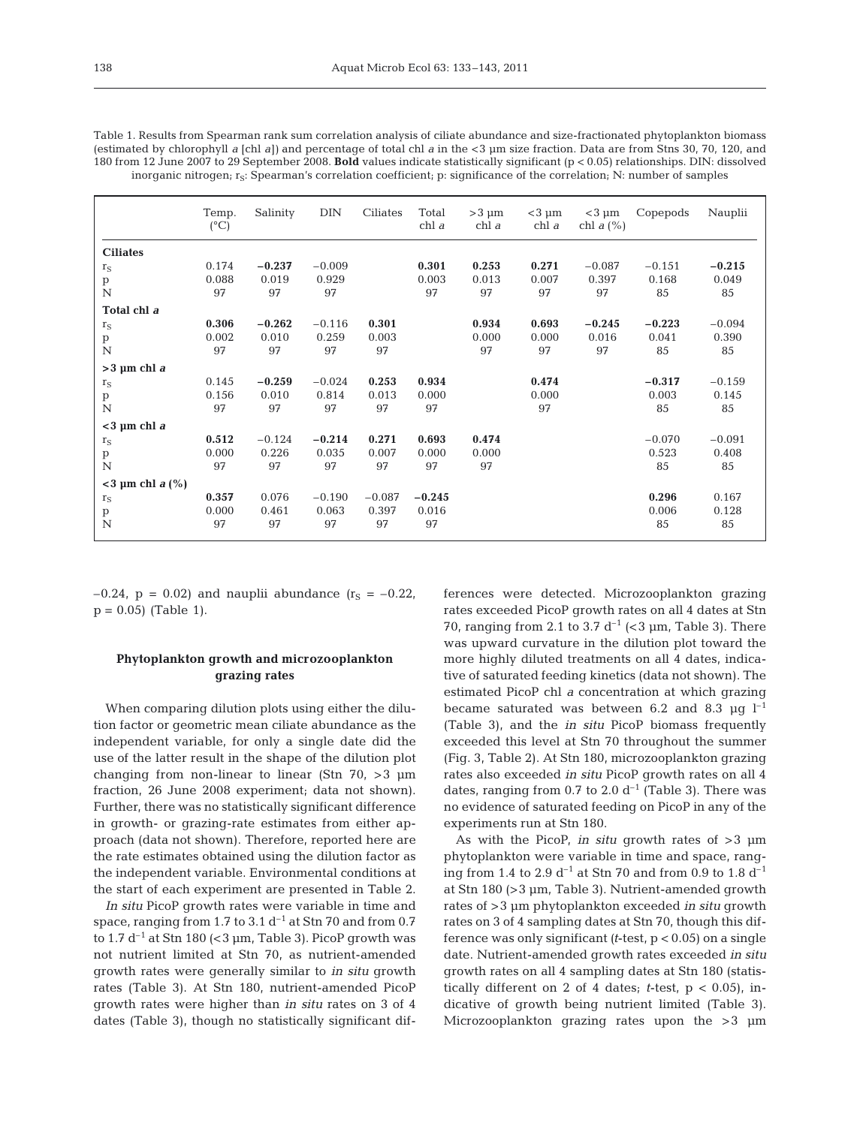| Table 1. Results from Spearman rank sum correlation analysis of ciliate abundance and size-fractionated phytoplankton biomass                  |
|------------------------------------------------------------------------------------------------------------------------------------------------|
| (estimated by chlorophyll a [ch] a]) and percentage of total ch] a in the $\lt 3$ µm size fraction. Data are from Stns 30, 70, 120, and        |
| 180 from 12 June 2007 to 29 September 2008. <b>Bold</b> values indicate statistically significant ( $p < 0.05$ ) relationships. DIN: dissolved |
| inorganic nitrogen; $r_s$ : Spearman's correlation coefficient; p: significance of the correlation; N: number of samples                       |

|                    | Temp.<br>$(^{\circ}C)$ | Salinity | <b>DIN</b> | Ciliates | Total<br>chl a | $>3 \mu m$<br>chl a | $<$ 3 µm<br>chl a | $<$ 3 µm<br>chl $a\left(\% \right)$ | Copepods | Nauplii  |
|--------------------|------------------------|----------|------------|----------|----------------|---------------------|-------------------|-------------------------------------|----------|----------|
| <b>Ciliates</b>    |                        |          |            |          |                |                     |                   |                                     |          |          |
| $r_S$              | 0.174                  | $-0.237$ | $-0.009$   |          | 0.301          | 0.253               | 0.271             | $-0.087$                            | $-0.151$ | $-0.215$ |
| p                  | 0.088                  | 0.019    | 0.929      |          | 0.003          | 0.013               | 0.007             | 0.397                               | 0.168    | 0.049    |
| N                  | 97                     | 97       | 97         |          | 97             | 97                  | 97                | 97                                  | 85       | 85       |
| Total chl a        |                        |          |            |          |                |                     |                   |                                     |          |          |
| $r_S$              | 0.306                  | $-0.262$ | $-0.116$   | 0.301    |                | 0.934               | 0.693             | $-0.245$                            | $-0.223$ | $-0.094$ |
| p                  | 0.002                  | 0.010    | 0.259      | 0.003    |                | 0.000               | 0.000             | 0.016                               | 0.041    | 0.390    |
| N                  | 97                     | 97       | 97         | 97       |                | 97                  | 97                | 97                                  | 85       | 85       |
| $>3 \mu m$ chl a   |                        |          |            |          |                |                     |                   |                                     |          |          |
| $r_S$              | 0.145                  | $-0.259$ | $-0.024$   | 0.253    | 0.934          |                     | 0.474             |                                     | $-0.317$ | $-0.159$ |
| p                  | 0.156                  | 0.010    | 0.814      | 0.013    | 0.000          |                     | 0.000             |                                     | 0.003    | 0.145    |
| N                  | 97                     | 97       | 97         | 97       | 97             |                     | 97                |                                     | 85       | 85       |
| $<$ 3 µm chl $a$   |                        |          |            |          |                |                     |                   |                                     |          |          |
| $r_S$              | 0.512                  | $-0.124$ | $-0.214$   | 0.271    | 0.693          | 0.474               |                   |                                     | $-0.070$ | $-0.091$ |
| p                  | 0.000                  | 0.226    | 0.035      | 0.007    | 0.000          | 0.000               |                   |                                     | 0.523    | 0.408    |
| N                  | 97                     | 97       | 97         | 97       | 97             | 97                  |                   |                                     | 85       | 85       |
| $<$ 3 µm chl a (%) |                        |          |            |          |                |                     |                   |                                     |          |          |
| $r_S$              | 0.357                  | 0.076    | $-0.190$   | $-0.087$ | $-0.245$       |                     |                   |                                     | 0.296    | 0.167    |
| p                  | 0.000                  | 0.461    | 0.063      | 0.397    | 0.016          |                     |                   |                                     | 0.006    | 0.128    |
| N                  | 97                     | 97       | 97         | 97       | 97             |                     |                   |                                     | 85       | 85       |

 $-0.24$ , p = 0.02) and nauplii abundance (r<sub>S</sub> =  $-0.22$ ,  $p = 0.05$ ) (Table 1).

# **Phytoplankton growth and microzooplankton grazing rates**

When comparing dilution plots using either the dilution factor or geometric mean ciliate abundance as the independent variable, for only a single date did the use of the latter result in the shape of the dilution plot changing from non-linear to linear (Stn 70, >3 µm fraction, 26 June 2008 experiment; data not shown). Further, there was no statistically significant difference in growth- or grazing-rate estimates from either approach (data not shown). Therefore, reported here are the rate estimates obtained using the dilution factor as the independent variable. Environmental conditions at the start of each experiment are presented in Table 2.

*In situ* PicoP growth rates were variable in time and space, ranging from 1.7 to 3.1  $d^{-1}$  at Stn 70 and from 0.7 to 1.7  $d^{-1}$  at Stn 180 (<3 µm, Table 3). PicoP growth was not nutrient limited at Stn 70, as nutrient-amended growth rates were generally similar to *in situ* growth rates (Table 3). At Stn 180, nutrient-amended PicoP growth rates were higher than *in situ* rates on 3 of 4 dates (Table 3), though no statistically significant differences were detected. Microzooplankton grazing rates ex ceeded PicoP growth rates on all 4 dates at Stn 70, ranging from 2.1 to 3.7  $d^{-1}$  (<3 µm, Table 3). There was upward curvature in the dilution plot toward the more highly diluted treatments on all 4 dates, indicative of saturated feeding kinetics (data not shown). The estimated PicoP chl *a* concentration at which grazing became saturated was between 6.2 and 8.3  $\mu$ g l<sup>-1</sup> (Table 3), and the *in situ* PicoP biomass frequently exceeded this level at Stn 70 throughout the summer (Fig. 3, Table 2). At Stn 180, microzooplankton grazing rates also exceeded *in situ* PicoP growth rates on all 4 dates, ranging from 0.7 to 2.0  $d^{-1}$  (Table 3). There was no evidence of saturated feeding on PicoP in any of the experiments run at Stn 180.

As with the PicoP, *in situ* growth rates of >3 µm phytoplankton were variable in time and space, ranging from 1.4 to 2.9  $d^{-1}$  at Stn 70 and from 0.9 to 1.8  $d^{-1}$ at Stn 180 (>3 µm, Table 3). Nutrient-amended growth rates of >3 µm phytoplankton exceeded *in situ* growth rates on 3 of 4 sampling dates at Stn 70, though this difference was only significant *(t*-test, p < 0.05) on a single date. Nutrient-amended growth rates exceeded *in situ* growth rates on all 4 sampling dates at Stn 180 (statistically different on 2 of 4 dates;  $t$ -test,  $p < 0.05$ ), indicative of growth being nutrient limited (Table 3). Microzooplankton grazing rates upon the >3  $\mu$ m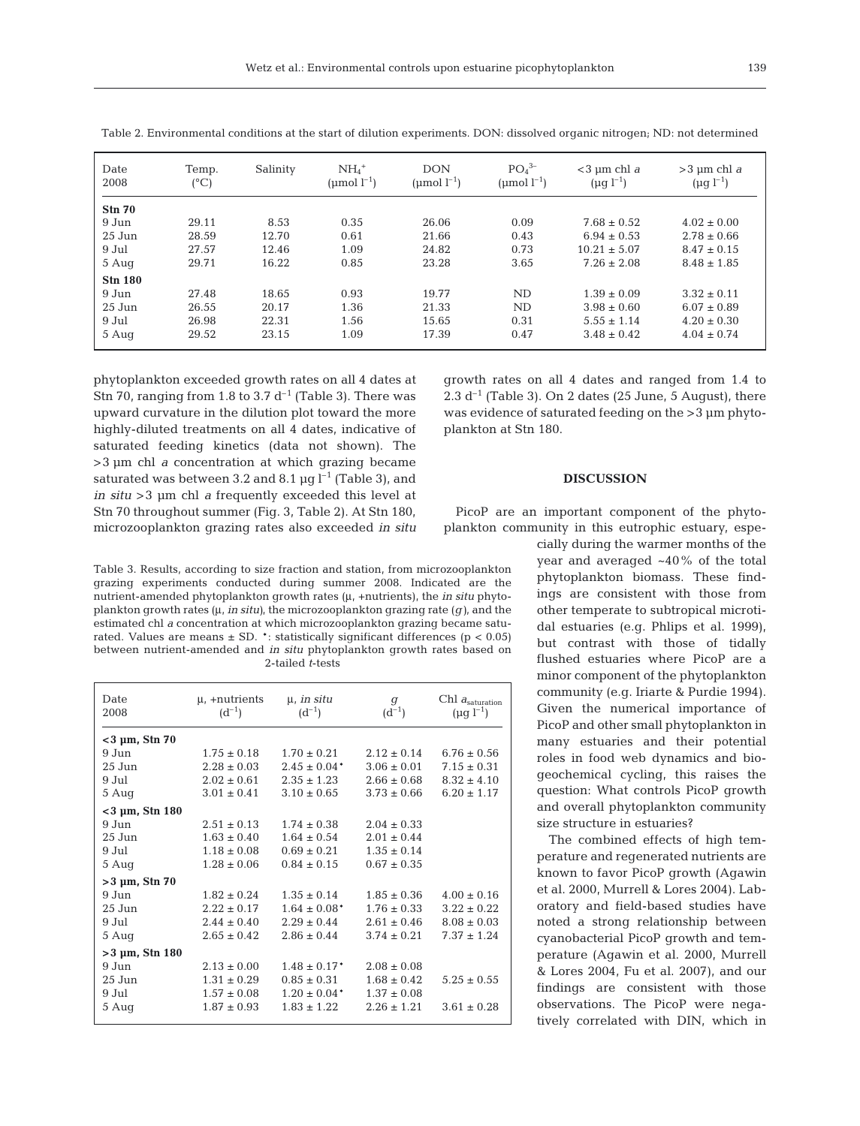| Date<br>2008     | Temp.<br>$(^{\circ}C)$ | Salinity | $NH4+$<br>(µmol $l^{-1}$ ) | <b>DON</b><br>(umol $l^{-1}$ ) | PO <sub>4</sub> <sup>3</sup><br>(umol $l^{-1}$ ) | $<$ 3 µm chl a<br>$(\mu g l^{-1})$ | $>$ 3 µm chl a<br>$(\mu g l^{-1})$ |
|------------------|------------------------|----------|----------------------------|--------------------------------|--------------------------------------------------|------------------------------------|------------------------------------|
| Sm <sub>70</sub> |                        |          |                            |                                |                                                  |                                    |                                    |
| 9 Jun            | 29.11                  | 8.53     | 0.35                       | 26.06                          | 0.09                                             | $7.68 \pm 0.52$                    | $4.02 \pm 0.00$                    |
| $25$ Jun         | 28.59                  | 12.70    | 0.61                       | 21.66                          | 0.43                                             | $6.94 \pm 0.53$                    | $2.78 \pm 0.66$                    |
| 9 Jul            | 27.57                  | 12.46    | 1.09                       | 24.82                          | 0.73                                             | $10.21 \pm 5.07$                   | $8.47 \pm 0.15$                    |
| 5 Aug            | 29.71                  | 16.22    | 0.85                       | 23.28                          | 3.65                                             | $7.26 \pm 2.08$                    | $8.48 \pm 1.85$                    |
| <b>Stn 180</b>   |                        |          |                            |                                |                                                  |                                    |                                    |
| 9 Jun            | 27.48                  | 18.65    | 0.93                       | 19.77                          | ND                                               | $1.39 \pm 0.09$                    | $3.32 \pm 0.11$                    |
| $25$ Jun         | 26.55                  | 20.17    | 1.36                       | 21.33                          | ND                                               | $3.98 \pm 0.60$                    | $6.07 \pm 0.89$                    |
| 9 Jul            | 26.98                  | 22.31    | 1.56                       | 15.65                          | 0.31                                             | $5.55 \pm 1.14$                    | $4.20 \pm 0.30$                    |
| 5 Aug            | 29.52                  | 23.15    | 1.09                       | 17.39                          | 0.47                                             | $3.48 \pm 0.42$                    | $4.04 \pm 0.74$                    |

Table 2. Environmental conditions at the start of dilution experiments. DON: dissolved organic nitrogen; ND: not determined

phytoplankton exceeded growth rates on all 4 dates at Stn 70, ranging from 1.8 to 3.7  $d^{-1}$  (Table 3). There was upward curvature in the dilution plot toward the more highly-diluted treatments on all 4 dates, indicative of saturated feeding kinetics (data not shown). The >3 µm chl *a* concentration at which grazing became saturated was between 3.2 and 8.1  $\mu$ g l<sup>-1</sup> (Table 3), and *in situ* >3 µm chl *a* frequently exceeded this level at Stn 70 throughout summer (Fig. 3, Table 2). At Stn 180, microzooplankton grazing rates also exceeded *in situ* growth rates on all 4 dates and ranged from 1.4 to 2.3  $d^{-1}$  (Table 3). On 2 dates (25 June, 5 August), there was evidence of saturated feeding on the >3 µm phytoplankton at Stn 180.

## **DISCUSSION**

PicoP are an important component of the phytoplankton community in this eutrophic estuary, espe-

Table 3. Results, according to size fraction and station, from microzooplankton grazing experiments conducted during summer 2008. Indicated are the nutrient-amended phytoplankton growth rates (μ, +nutrients), the *in situ* phytoplankton growth rates (μ, *in situ)*, the microzooplankton grazing rate (*g)*, and the estimated chl *a* concentration at which microzooplankton grazing became saturated. Values are means  $\pm$  SD.  $\cdot$ : statistically significant differences ( $p < 0.05$ ) between nutrient-amended and *in situ* phytoplankton growth rates based on 2-tailed *t*-tests

| Date<br>2008         | μ, +nutrients<br>$(d^{-1})$ | $\mu$ , in situ<br>$(d^{-1})$ | $\sigma$<br>$(d^{-1})$ | Chl $a_{\text{saturation}}$<br>$(\mu q l^{-1})$ |
|----------------------|-----------------------------|-------------------------------|------------------------|-------------------------------------------------|
| $<$ 3 µm, Stn 70     |                             |                               |                        |                                                 |
| 9 Jun                | $1.75 \pm 0.18$             | $1.70 \pm 0.21$               | $2.12 \pm 0.14$        | $6.76 \pm 0.56$                                 |
| 25 Jun               | $2.28 \pm 0.03$             | $2.45 \pm 0.04*$              | $3.06 \pm 0.01$        | $7.15 \pm 0.31$                                 |
| 9 Jul                | $2.02 \pm 0.61$             | $2.35 \pm 1.23$               | $2.66 \pm 0.68$        | $8.32 \pm 4.10$                                 |
| 5 Aug                | $3.01 \pm 0.41$             | $3.10 \pm 0.65$               | $3.73 \pm 0.66$        | $6.20 \pm 1.17$                                 |
| $<$ 3 µm, Stn 180    |                             |                               |                        |                                                 |
| 9 Jun                | $2.51 \pm 0.13$             | $1.74 \pm 0.38$               | $2.04 \pm 0.33$        |                                                 |
| $25$ Jun             | $1.63 \pm 0.40$             | $1.64 \pm 0.54$               | $2.01 \pm 0.44$        |                                                 |
| 9 Jul                | $1.18 \pm 0.08$             | $0.69 \pm 0.21$               | $1.35 \pm 0.14$        |                                                 |
| 5 Aug                | $1.28 \pm 0.06$             | $0.84 \pm 0.15$               | $0.67 \pm 0.35$        |                                                 |
| $>3 \mu m$ , Stn 70  |                             |                               |                        |                                                 |
| $9$ Jun              | $1.82 \pm 0.24$             | $1.35 \pm 0.14$               | $1.85 \pm 0.36$        | $4.00 \pm 0.16$                                 |
| 25 Jun               | $2.22 \pm 0.17$             | $1.64 \pm 0.08^*$             | $1.76 \pm 0.33$        | $3.22 \pm 0.22$                                 |
| 9 Jul                | $2.44 \pm 0.40$             | $2.29 \pm 0.44$               | $2.61 \pm 0.46$        | $8.08 \pm 0.03$                                 |
| 5 Aug                | $2.65 \pm 0.42$             | $2.86 \pm 0.44$               | $3.74 \pm 0.21$        | $7.37 \pm 1.24$                                 |
| $>3 \mu m$ , Stn 180 |                             |                               |                        |                                                 |
| 9 Jun                | $2.13 \pm 0.00$             | $1.48 \pm 0.17$ <sup>*</sup>  | $2.08 \pm 0.08$        |                                                 |
| 25 Jun               | $1.31 \pm 0.29$             | $0.85 \pm 0.31$               | $1.68 \pm 0.42$        | $5.25 \pm 0.55$                                 |
| 9 Jul                | $1.57 \pm 0.08$             | $1.20 \pm 0.04*$              | $1.37 \pm 0.08$        |                                                 |
| 5 Aug                | $1.87 \pm 0.93$             | $1.83 \pm 1.22$               | $2.26 \pm 1.21$        | $3.61 \pm 0.28$                                 |
|                      |                             |                               |                        |                                                 |

cially during the warmer months of the year and averaged ~40% of the total phytoplankton biomass. These findings are consistent with those from other temperate to subtropical microtidal estuaries (e.g. Phlips et al. 1999), but contrast with those of tidally flushed estuaries where PicoP are a minor component of the phytoplankton community (e.g. Iriarte & Purdie 1994). Given the numerical importance of PicoP and other small phytoplankton in many estuaries and their potential roles in food web dynamics and biogeochemical cycling, this raises the question: What controls PicoP growth and overall phytoplankton community size structure in estuaries?

The combined effects of high temperature and regenerated nutrients are known to favor PicoP growth (Agawin et al. 2000, Murrell & Lores 2004). Laboratory and field-based studies have noted a strong relationship between cyanobacterial PicoP growth and temperature (Agawin et al. 2000, Murrell & Lores 2004, Fu et al. 2007), and our findings are consistent with those observations. The PicoP were negatively correlated with DIN, which in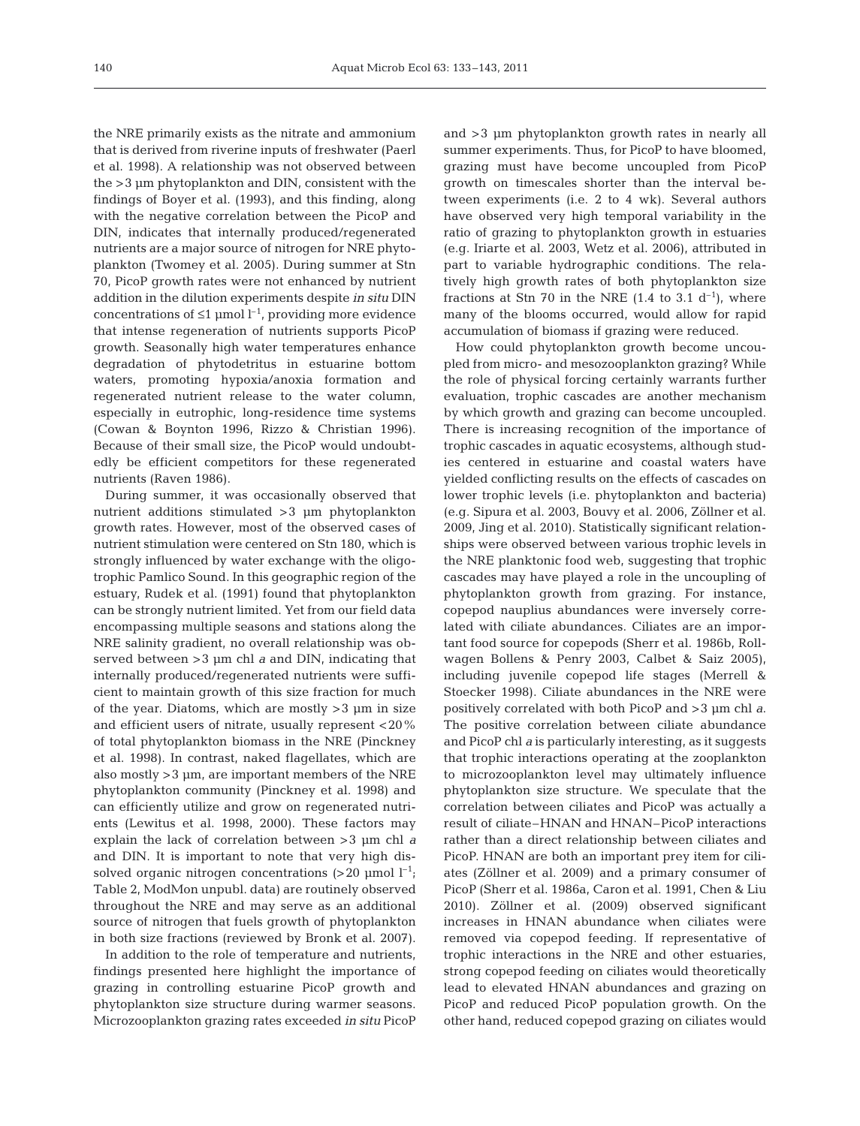the NRE primarily exists as the nitrate and ammonium that is derived from riverine inputs of freshwater (Paerl et al. 1998). A relationship was not observed between the >3 µm phytoplankton and DIN, consistent with the findings of Boyer et al. (1993), and this finding, along with the negative correlation between the PicoP and DIN, indicates that internally produced/regenerated nutrients are a major source of nitrogen for NRE phytoplankton (Twomey et al. 2005). During summer at Stn 70, PicoP growth rates were not enhanced by nutrient addition in the dilution experiments despite *in situ* DIN concentrations of  $\leq 1$  µmol  $l^{-1}$ , providing more evidence that intense regeneration of nutrients supports PicoP growth. Seasonally high water temperatures enhance degradation of phytodetritus in estuarine bottom waters, promoting hypoxia/anoxia formation and regenerated nutrient release to the water column, especially in eutrophic, long-residence time systems (Cowan & Boynton 1996, Rizzo & Christian 1996). Because of their small size, the PicoP would undoubtedly be efficient competitors for these regenerated nutrients (Raven 1986).

During summer, it was occasionally observed that nutrient additions stimulated >3 µm phytoplankton growth rates. However, most of the observed cases of nutrient stimulation were centered on Stn 180, which is strongly influenced by water exchange with the oligotrophic Pamlico Sound. In this geographic region of the estuary, Rudek et al. (1991) found that phytoplankton can be strongly nutrient limited. Yet from our field data encompassing multiple seasons and stations along the NRE salinity gradient, no overall relationship was ob served between >3 µm chl *a* and DIN, indicating that internally produced/regenerated nutrients were sufficient to maintain growth of this size fraction for much of the year. Diatoms, which are mostly  $>3$   $\mu$ m in size and efficient users of nitrate, usually represent <20% of total phytoplankton biomass in the NRE (Pinckney et al. 1998). In contrast, naked flagellates, which are also mostly >3 µm, are important members of the NRE phytoplankton community (Pinckney et al. 1998) and can efficiently utilize and grow on regenerated nutrients (Lewitus et al. 1998, 2000). These factors may explain the lack of correlation between >3 µm chl *a* and DIN. It is important to note that very high dissolved organic nitrogen concentrations  $(>20 \text{ }\mu\text{mol})^{-1}$ ; Table 2, ModMon unpubl. data) are routinely observed throughout the NRE and may serve as an additional source of nitrogen that fuels growth of phytoplankton in both size fractions (reviewed by Bronk et al. 2007).

In addition to the role of temperature and nutrients, findings presented here highlight the importance of grazing in controlling estuarine PicoP growth and phytoplankton size structure during warmer seasons. Microzooplankton grazing rates exceeded *in situ* PicoP and >3 µm phytoplankton growth rates in nearly all summer experiments. Thus, for PicoP to have bloomed, grazing must have become uncoupled from PicoP growth on timescales shorter than the interval be tween experiments (i.e. 2 to 4 wk). Several authors have observed very high temporal variability in the ratio of grazing to phytoplankton growth in estuaries (e.g. Iriarte et al. 2003, Wetz et al. 2006), attributed in part to variable hydrographic conditions. The relatively high growth rates of both phytoplankton size fractions at Stn 70 in the NRE  $(1.4 \text{ to } 3.1 \text{ d}^{-1})$ , where many of the blooms occurred, would allow for rapid accumulation of biomass if grazing were reduced.

How could phytoplankton growth become uncoupled from micro- and mesozooplankton grazing? While the role of physical forcing certainly warrants further evaluation, trophic cascades are another mechanism by which growth and grazing can become uncoupled. There is increasing recognition of the importance of trophic cascades in aquatic ecosystems, although studies centered in estuarine and coastal waters have yielded conflicting results on the effects of cascades on lower trophic levels (i.e. phytoplankton and bacteria) (e.g. Sipura et al. 2003, Bouvy et al. 2006, Zöllner et al. 2009, Jing et al. 2010). Statistically significant relationships were observed between various trophic levels in the NRE planktonic food web, suggesting that trophic cascades may have played a role in the uncoupling of phytoplankton growth from grazing. For instance, copepod nauplius abundances were inversely correlated with ciliate abundances. Ciliates are an important food source for copepods (Sherr et al. 1986b, Rollwagen Bollens & Penry 2003, Calbet & Saiz 2005), including juvenile copepod life stages (Merrell & Stoecker 1998). Ciliate abundances in the NRE were positively correlated with both PicoP and >3 µm chl *a*. The positive correlation between ciliate abundance and PicoP chl *a* is particularly interesting, as it suggests that trophic interactions operating at the zooplankton to microzooplankton level may ultimately influence phytoplankton size structure. We speculate that the correlation between ciliates and PicoP was actually a result of ciliate–HNAN and HNAN–PicoP interactions rather than a direct relationship between ciliates and PicoP. HNAN are both an important prey item for ciliates (Zöllner et al. 2009) and a primary consumer of PicoP (Sherr et al. 1986a, Caron et al. 1991, Chen & Liu 2010). Zöllner et al. (2009) observed significant increases in HNAN abundance when ciliates were removed via copepod feeding. If representative of trophic interactions in the NRE and other estuaries, strong copepod feeding on ciliates would theoretically lead to elevated HNAN abundances and grazing on PicoP and reduced PicoP population growth. On the other hand, reduced copepod grazing on ciliates would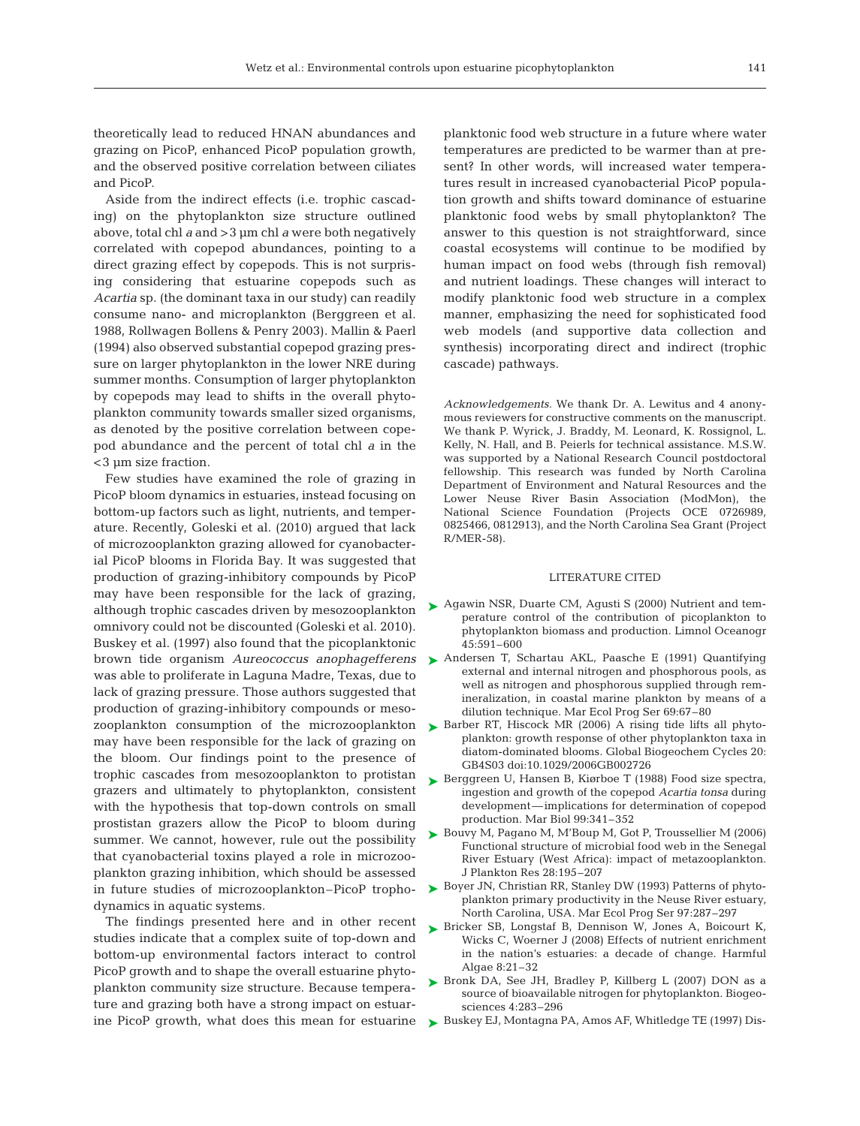theoretically lead to reduced HNAN abundances and grazing on PicoP, enhanced PicoP population growth, and the observed positive correlation between ciliates and PicoP.

Aside from the indirect effects (i.e. trophic cascading) on the phytoplankton size structure outlined above, total chl *a* and >3 µm chl *a* were both negatively correlated with copepod abundances, pointing to a direct grazing effect by copepods. This is not surprising considering that estuarine copepods such as *Acartia* sp. (the dominant taxa in our study) can readily consume nano- and microplankton (Berggreen et al. 1988, Rollwagen Bollens & Penry 2003). Mallin & Paerl (1994) also observed substantial copepod grazing pressure on larger phytoplankton in the lower NRE during summer months. Consumption of larger phytoplankton by copepods may lead to shifts in the overall phytoplankton community towards smaller sized organisms, as denoted by the positive correlation between copepod abundance and the percent of total chl *a* in the <3 µm size fraction.

Few studies have examined the role of grazing in PicoP bloom dynamics in estuaries, instead focusing on bottom-up factors such as light, nutrients, and temperature. Recently, Goleski et al. (2010) argued that lack of microzooplankton grazing allowed for cyanobacterial PicoP blooms in Florida Bay. It was suggested that production of grazing-inhibitory compounds by PicoP may have been responsible for the lack of grazing, although trophic cascades driven by mesozooplankton omnivory could not be discounted (Goleski et al. 2010). Buskey et al. (1997) also found that the picoplanktonic brown tide organism *Aureococcus anophagefferens* was able to proliferate in Laguna Madre, Texas, due to lack of grazing pressure. Those authors suggested that production of grazing-inhibitory compounds or mesozooplankton consumption of the microzooplankton may have been responsible for the lack of grazing on the bloom. Our findings point to the presence of trophic cascades from mesozooplankton to protistan grazers and ultimately to phytoplankton, consistent with the hypothesis that top-down controls on small prostistan grazers allow the PicoP to bloom during summer. We cannot, however, rule out the possibility that cyanobacterial toxins played a role in microzooplankton grazing inhibition, which should be assessed in future studies of microzooplankton–PicoP trophodynamics in aquatic systems.

The findings presented here and in other recent studies indicate that a complex suite of top-down and bottom-up environmental factors interact to control PicoP growth and to shape the overall estuarine phytoplankton community size structure. Because temperature and grazing both have a strong impact on estuarine PicoP growth, what does this mean for estuarine planktonic food web structure in a future where water temperatures are predicted to be warmer than at present? In other words, will increased water temperatures result in increased cyanobacterial PicoP population growth and shifts toward dominance of estuarine planktonic food webs by small phytoplankton? The answer to this question is not straightforward, since coastal ecosystems will continue to be modified by human impact on food webs (through fish removal) and nutrient loadings. These changes will interact to modify planktonic food web structure in a complex manner, emphasizing the need for sophisticated food web models (and supportive data collection and synthesis) incorporating direct and indirect (trophic cascade) pathways.

*Acknowledgements.* We thank Dr. A. Lewitus and 4 anonymous reviewers for constructive comments on the manuscript. We thank P. Wyrick, J. Braddy, M. Leonard, K. Rossignol, L. Kelly, N. Hall, and B. Peierls for technical assistance. M.S.W. was supported by a National Research Council postdoctoral fellowship. This research was funded by North Carolina Department of Environment and Natural Resources and the Lower Neuse River Basin Association (ModMon), the National Science Foundation (Projects OCE 0726989, 0825466, 0812913), and the North Carolina Sea Grant (Project R/MER-58).

#### LITERATURE CITED

- ► Agawin NSR, Duarte CM, Agusti S (2000) Nutrient and temperature control of the contribution of picoplankton to phytoplankton biomass and production. Limnol Oceanogr 45: 591–600
- ▶ Andersen T, Schartau AKL, Paasche E (1991) Quantifying external and internal nitrogen and phosphorous pools, as well as nitrogen and phosphorous supplied through remineralization, in coastal marine plankton by means of a dilution technique. Mar Ecol Prog Ser 69:67–80
- ▶ Barber RT, Hiscock MR (2006) A rising tide lifts all phytoplankton: growth response of other phytoplankton taxa in diatom-dominated blooms. Global Biogeochem Cycles 20: GB4S03 doi:10.1029/2006GB002726
- ► Berggreen U, Hansen B, Kiørboe T (1988) Food size spectra, ingestion and growth of the copepod *Acartia tonsa* during development—implications for determination of copepod production. Mar Biol 99:341–352
- ► Bouvy M, Pagano M, M'Boup M, Got P, Troussellier M (2006) Functional structure of microbial food web in the Senegal River Estuary (West Africa): impact of metazooplankton. J Plankton Res 28:195–207
- ► Boyer JN, Christian RR, Stanley DW (1993) Patterns of phytoplankton primary productivity in the Neuse River estuary, North Carolina, USA. Mar Ecol Prog Ser 97:287–297
- ▶ Bricker SB, Longstaf B, Dennison W, Jones A, Boicourt K, Wicks C, Woerner J (2008) Effects of nutrient enrichment in the nation's estuaries: a decade of change. Harmful Algae 8:21–32
- ▶ Bronk DA, See JH, Bradley P, Killberg L (2007) DON as a source of bioavailable nitrogen for phytoplankton. Biogeosciences 4:283–296
- ► Buskey EJ, Montagna PA, Amos AF, Whitledge TE (1997) Dis-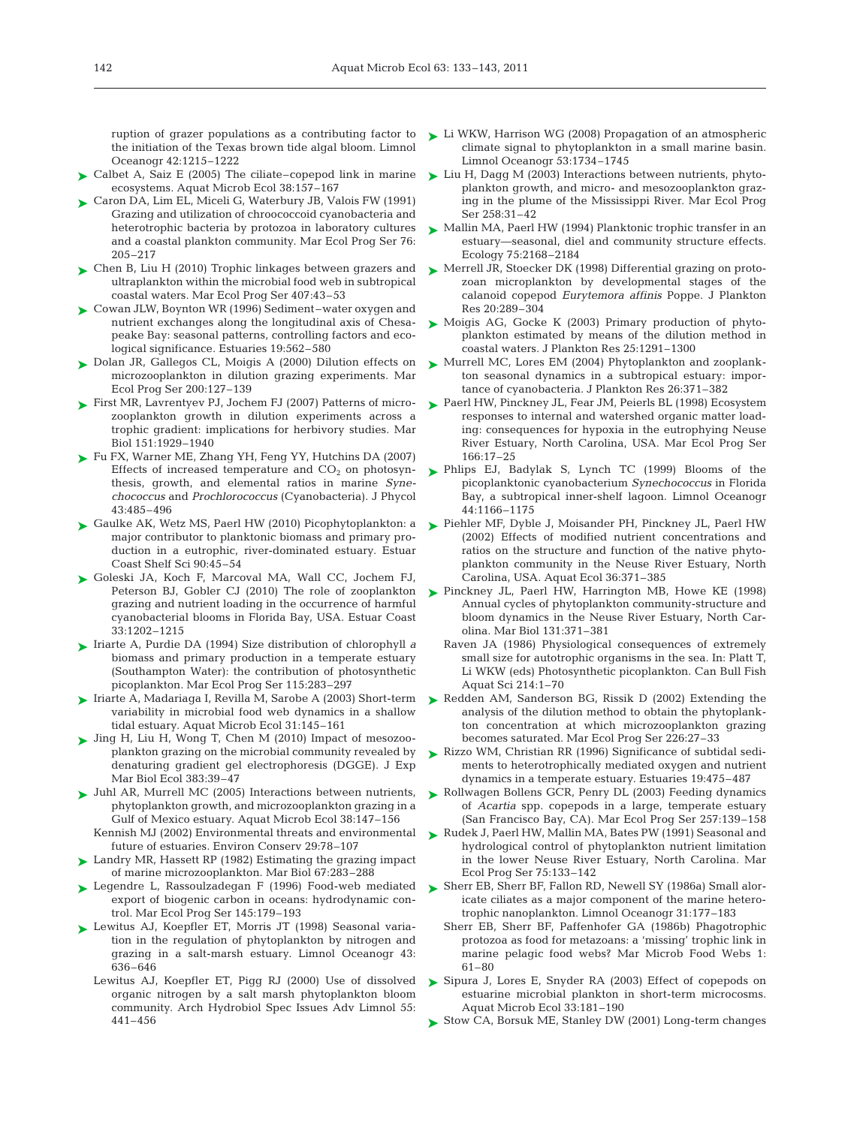the initiation of the Texas brown tide algal bloom. Limnol Oceanogr 42:1215–1222

- ► Calbet A, Saiz E (2005) The ciliate–copepod link in marine ecosystems. Aquat Microb Ecol 38:157–167
- Caron DA, Lim EL, Miceli G, Waterbury JB, Valois FW (1991) Grazing and utilization of chroococcoid cyanobacteria and heterotrophic bacteria by protozoa in laboratory cultures and a coastal plankton community. Mar Ecol Prog Ser 76: 205–217 ➤
- ► Chen B, Liu H (2010) Trophic linkages between grazers and ultraplankton within the microbial food web in subtropical coastal waters. Mar Ecol Prog Ser 407:43–53
- Cowan JLW, Boynton WR (1996) Sediment–water oxygen and ➤ nutrient exchanges along the longitudinal axis of Chesapeake Bay: seasonal patterns, controlling factors and ecological significance. Estuaries 19:562–580
- ► Dolan JR, Gallegos CL, Moigis A (2000) Dilution effects on microzooplankton in dilution grazing experiments. Mar Ecol Prog Ser 200:127–139
- ► First MR, Lavrentyev PJ, Jochem FJ (2007) Patterns of microzooplankton growth in dilution experiments across a trophic gradient: implications for herbivory studies. Mar Biol 151:1929–1940
- ► Fu FX, Warner ME, Zhang YH, Feng YY, Hutchins DA (2007) Effects of increased temperature and  $CO<sub>2</sub>$  on photosynthesis, growth, and elemental ratios in marine *Synechococcus* and *Prochlorococcus* (Cyanobacteria). J Phycol 43: 485–496
- Gaulke AK, Wetz MS, Paerl HW (2010) Picophytoplankton: a ➤ major contributor to planktonic biomass and primary production in a eutrophic, river-dominated estuary. Estuar Coast Shelf Sci 90:45–54
- ► Goleski JA, Koch F, Marcoval MA, Wall CC, Jochem FJ, Peterson BJ, Gobler CJ (2010) The role of zooplankton grazing and nutrient loading in the occurrence of harmful cyanobacterial blooms in Florida Bay, USA. Estuar Coast 33:1202–1215
- ► Iriarte A, Purdie DA (1994) Size distribution of chlorophyll *a* biomass and primary production in a temperate estuary (Southampton Water): the contribution of photosynthetic picoplankton. Mar Ecol Prog Ser 115:283–297
- ► Iriarte A, Madariaga I, Revilla M, Sarobe A (2003) Short-term variability in microbial food web dynamics in a shallow tidal estuary. Aquat Microb Ecol 31:145–161
- ▶ Jing H, Liu H, Wong T, Chen M (2010) Impact of mesozooplankton grazing on the microbial community revealed by denaturing gradient gel electrophoresis (DGGE). J Exp Mar Biol Ecol 383:39–47
- Juhl AR, Murrell MC (2005) Interactions between nutrients, ➤ phytoplankton growth, and microzooplankton grazing in a Gulf of Mexico estuary. Aquat Microb Ecol 38:147–156 Kennish MJ (2002) Environmental threats and environmental
- future of estuaries. Environ Conserv 29:78–107
- ► Landry MR, Hassett RP (1982) Estimating the grazing impact of marine microzooplankton. Mar Biol 67:283–288
- ► Legendre L, Rassoulzadegan F (1996) Food-web mediated export of biogenic carbon in oceans: hydrodynamic control. Mar Ecol Prog Ser 145:179–193
- ► Lewitus AJ, Koepfler ET, Morris JT (1998) Seasonal variation in the regulation of phytoplankton by nitrogen and grazing in a salt-marsh estuary. Limnol Oceanogr 43: 636–646
	- Lewitus AJ, Koepfler ET, Pigg RJ (2000) Use of dissolved organic nitrogen by a salt marsh phytoplankton bloom community. Arch Hydrobiol Spec Issues Adv Limnol 55: 441–456
- ruption of grazer populations as a contributing factor to Li WKW, Harrison WG (2008) Propagation of an atmospheric climate signal to phytoplankton in a small marine basin. Limnol Oceanogr 53:1734–1745
	- ► Liu H, Dagg M (2003) Interactions between nutrients, phytoplankton growth, and micro- and mesozooplankton grazing in the plume of the Mississippi River. Mar Ecol Prog Ser 258:31–42
	- ► Mallin MA, Paerl HW (1994) Planktonic trophic transfer in an estuary—seasonal, diel and community structure effects. Ecology 75:2168–2184
	- Merrell JR, Stoecker DK (1998) Differential grazing on proto-➤ zoan microplankton by developmental stages of the calanoid copepod *Eurytemora affinis* Poppe. J Plankton Res 20:289–304
	- ► Moigis AG, Gocke K (2003) Primary production of phytoplankton estimated by means of the dilution method in coastal waters. J Plankton Res 25:1291–1300
	- ► Murrell MC, Lores EM (2004) Phytoplankton and zooplankton seasonal dynamics in a subtropical estuary: importance of cyanobacteria. J Plankton Res 26:371–382
	- Paerl HW, Pinckney JL, Fear JM, Peierls BL (1998) Ecosystem ➤ responses to internal and watershed organic matter loading: consequences for hypoxia in the eutrophying Neuse River Estuary, North Carolina, USA. Mar Ecol Prog Ser 166: 17–25
	- Phlips EJ, Badylak S, Lynch TC (1999) Blooms of the ➤ picoplanktonic cyanobacterium *Synechococcus* in Florida Bay, a subtropical inner-shelf lagoon. Limnol Oceanogr 44: 1166–1175
	- ► Piehler MF, Dyble J, Moisander PH, Pinckney JL, Paerl HW (2002) Effects of modified nutrient concentrations and ratios on the structure and function of the native phytoplankton community in the Neuse River Estuary, North Carolina, USA. Aquat Ecol 36:371–385
	- ► Pinckney JL, Paerl HW, Harrington MB, Howe KE (1998) Annual cycles of phytoplankton community-structure and bloom dynamics in the Neuse River Estuary, North Carolina. Mar Biol 131:371–381
		- Raven JA (1986) Physiological consequences of extremely small size for autotrophic organisms in the sea. In: Platt T, Li WKW (eds) Photosynthetic picoplankton. Can Bull Fish Aquat Sci 214:1–70
	- ▶ Redden AM, Sanderson BG, Rissik D (2002) Extending the analysis of the dilution method to obtain the phytoplankton concentration at which microzooplankton grazing becomes saturated. Mar Ecol Prog Ser 226:27–33
	- ► Rizzo WM, Christian RR (1996) Significance of subtidal sediments to heterotrophically mediated oxygen and nutrient dynamics in a temperate estuary. Estuaries 19:475–487
	- ► Rollwagen Bollens GCR, Penry DL (2003) Feeding dynamics of *Acartia* spp. copepods in a large, temperate estuary (San Francisco Bay, CA). Mar Ecol Prog Ser 257:139–158
	- ▶ Rudek J, Paerl HW, Mallin MA, Bates PW (1991) Seasonal and hydrological control of phytoplankton nutrient limitation in the lower Neuse River Estuary, North Carolina. Mar Ecol Prog Ser 75:133–142
	- ▶ Sherr EB, Sherr BF, Fallon RD, Newell SY (1986a) Small aloricate ciliates as a major component of the marine heterotrophic nanoplankton. Limnol Oceanogr 31:177–183
		- Sherr EB, Sherr BF, Paffenhofer GA (1986b) Phagotrophic protozoa as food for metazoans: a 'missing' trophic link in marine pelagic food webs? Mar Microb Food Webs 1: 61–80
	- ► Sipura J, Lores E, Snyder RA (2003) Effect of copepods on estuarine microbial plankton in short-term microcosms. Aquat Microb Ecol 33:181–190
	- ► Stow CA, Borsuk ME, Stanley DW (2001) Long-term changes